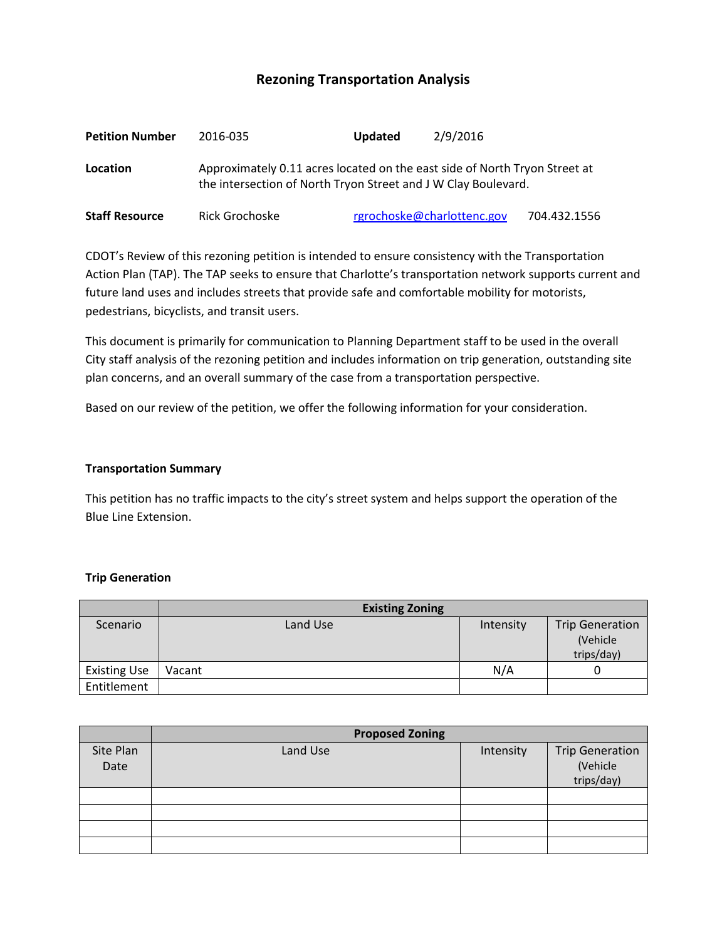# **Rezoning Transportation Analysis**

| <b>Petition Number</b> | 2016-035                                                                                                                                     | <b>Updated</b> | 2/9/2016                   |              |  |  |
|------------------------|----------------------------------------------------------------------------------------------------------------------------------------------|----------------|----------------------------|--------------|--|--|
| Location               | Approximately 0.11 acres located on the east side of North Tryon Street at<br>the intersection of North Tryon Street and J W Clay Boulevard. |                |                            |              |  |  |
| <b>Staff Resource</b>  | Rick Grochoske                                                                                                                               |                | rgrochoske@charlottenc.gov | 704.432.1556 |  |  |

CDOT's Review of this rezoning petition is intended to ensure consistency with the Transportation Action Plan (TAP). The TAP seeks to ensure that Charlotte's transportation network supports current and future land uses and includes streets that provide safe and comfortable mobility for motorists, pedestrians, bicyclists, and transit users.

This document is primarily for communication to Planning Department staff to be used in the overall City staff analysis of the rezoning petition and includes information on trip generation, outstanding site plan concerns, and an overall summary of the case from a transportation perspective.

Based on our review of the petition, we offer the following information for your consideration.

#### **Transportation Summary**

This petition has no traffic impacts to the city's street system and helps support the operation of the Blue Line Extension.

#### **Trip Generation**

|                     | <b>Existing Zoning</b> |           |                                                   |
|---------------------|------------------------|-----------|---------------------------------------------------|
| Scenario            | Land Use               | Intensity | <b>Trip Generation</b><br>(Vehicle)<br>trips/day) |
| <b>Existing Use</b> | Vacant                 | N/A       |                                                   |
| Entitlement         |                        |           |                                                   |

|                   | <b>Proposed Zoning</b> |           |                                                  |  |
|-------------------|------------------------|-----------|--------------------------------------------------|--|
| Site Plan<br>Date | Land Use               | Intensity | <b>Trip Generation</b><br>(Vehicle<br>trips/day) |  |
|                   |                        |           |                                                  |  |
|                   |                        |           |                                                  |  |
|                   |                        |           |                                                  |  |
|                   |                        |           |                                                  |  |